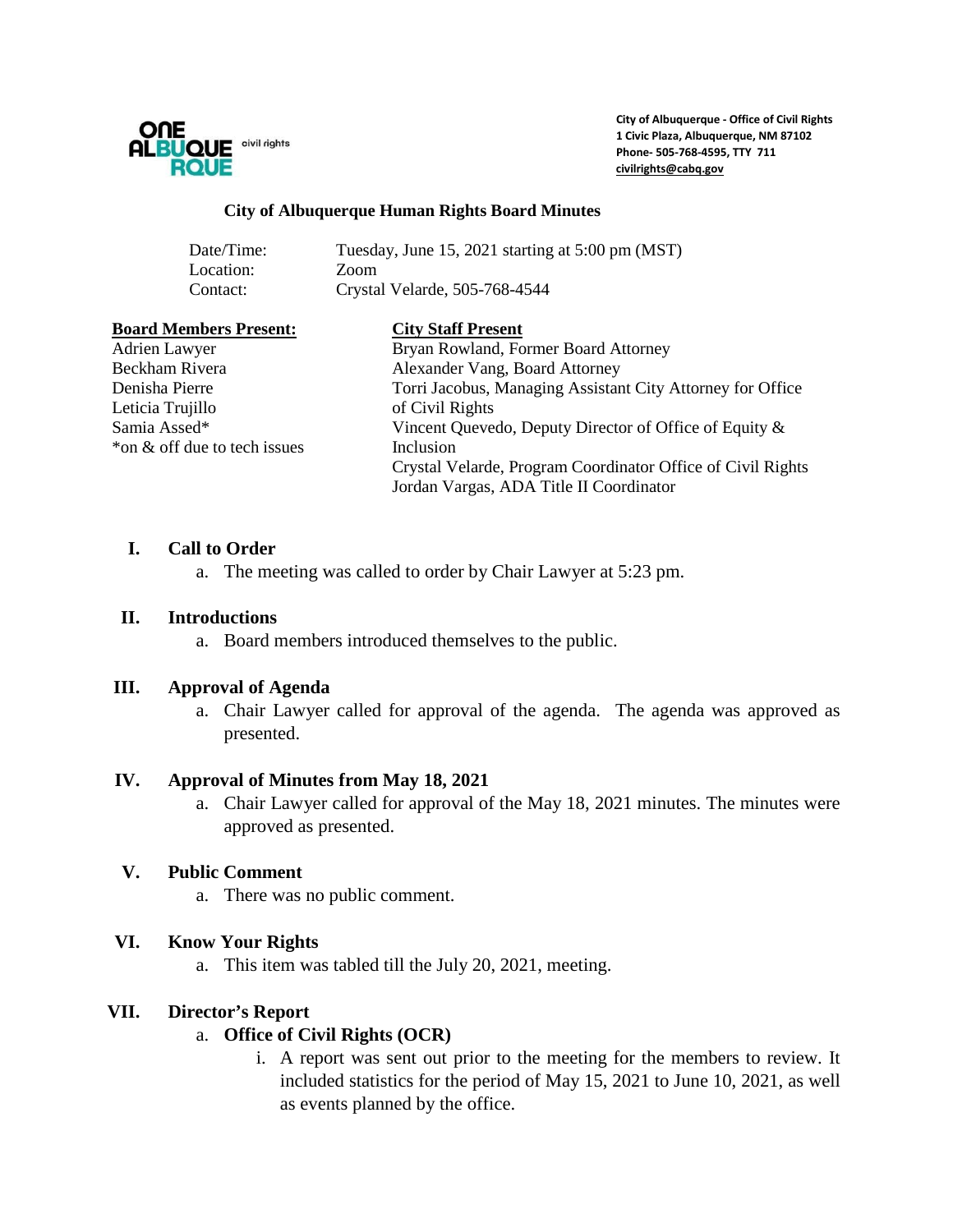

**City of Albuquerque - Office of Civil Rights 1 Civic Plaza, Albuquerque, NM 87102 Phone- 505-768-4595, TTY 711 [civilrights@cabq.gov](mailto:civilrights@cabq.gov)**

#### **City of Albuquerque Human Rights Board Minutes**

| Date/Time: | Tuesday, June 15, 2021 starting at 5:00 pm (MST) |
|------------|--------------------------------------------------|
| Location:  | Zoom                                             |
| Contact:   | Crystal Velarde, 505-768-4544                    |

#### **Board Members Present: City Staff Present**

Leticia Trujillo of Civil Rights \*on & off due to tech issues Inclusion

Adrien Lawyer **Bryan Rowland, Former Board Attorney** Beckham Rivera Alexander Vang, Board Attorney Denisha Pierre Torri Jacobus, Managing Assistant City Attorney for Office Samia Assed\* Vincent Quevedo, Deputy Director of Office of Equity & Crystal Velarde, Program Coordinator Office of Civil Rights Jordan Vargas, ADA Title II Coordinator

#### **I. Call to Order**

a. The meeting was called to order by Chair Lawyer at 5:23 pm.

#### **II. Introductions**

a. Board members introduced themselves to the public.

#### **III. Approval of Agenda**

a. Chair Lawyer called for approval of the agenda. The agenda was approved as presented.

#### **IV. Approval of Minutes from May 18, 2021**

a. Chair Lawyer called for approval of the May 18, 2021 minutes. The minutes were approved as presented.

## **V. Public Comment**

a. There was no public comment.

## **VI. Know Your Rights**

a. This item was tabled till the July 20, 2021, meeting.

## **VII. Director's Report**

## a. **Office of Civil Rights (OCR)**

i. A report was sent out prior to the meeting for the members to review. It included statistics for the period of May 15, 2021 to June 10, 2021, as well as events planned by the office.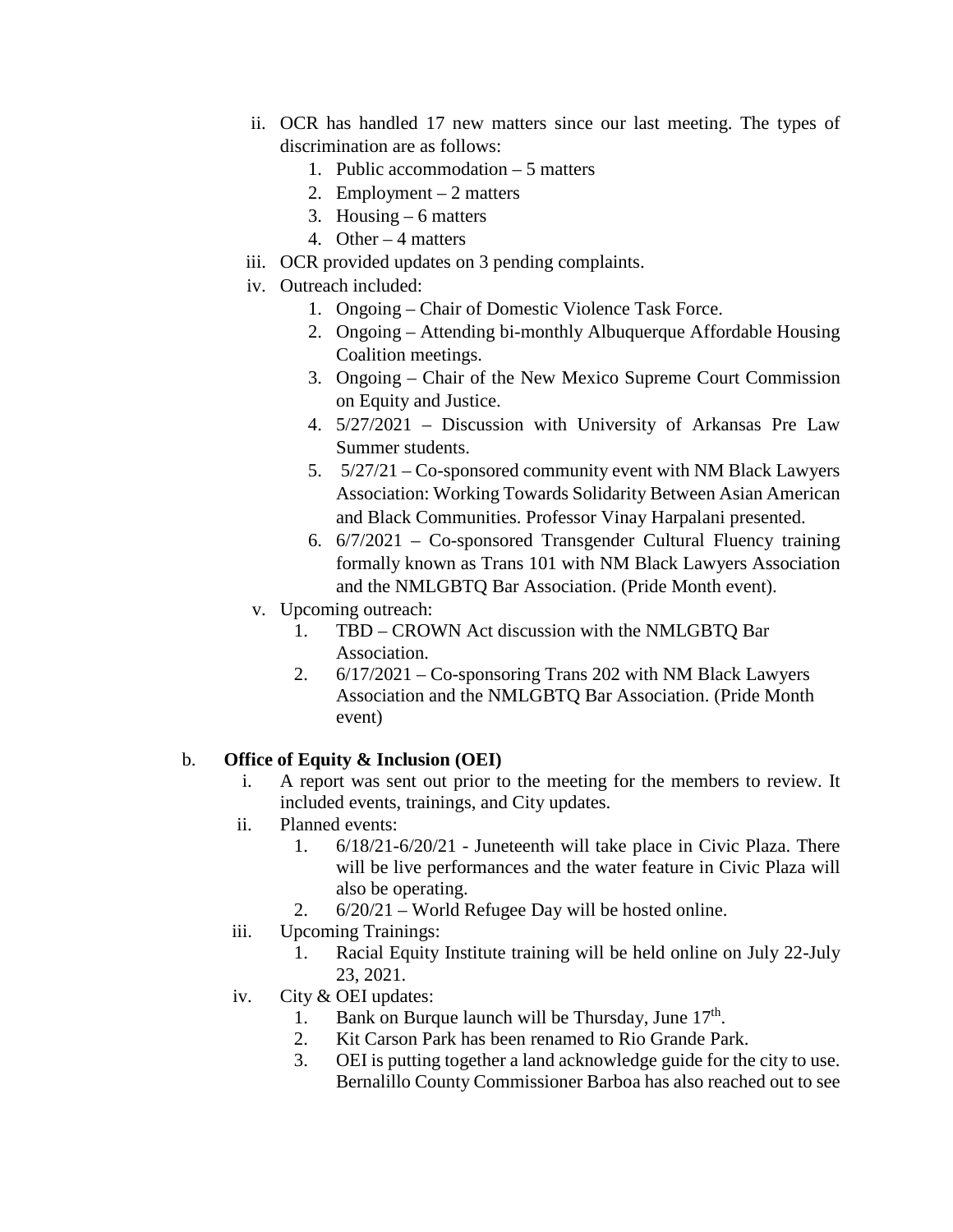- ii. OCR has handled 17 new matters since our last meeting. The types of discrimination are as follows:
	- 1. Public accommodation 5 matters
	- 2. Employment 2 matters
	- 3. Housing  $-6$  matters
	- 4. Other 4 matters
- iii. OCR provided updates on 3 pending complaints.
- iv. Outreach included:
	- 1. Ongoing Chair of Domestic Violence Task Force.
	- 2. Ongoing Attending bi-monthly Albuquerque Affordable Housing Coalition meetings.
	- 3. Ongoing Chair of the New Mexico Supreme Court Commission on Equity and Justice.
	- 4. 5/27/2021 Discussion with University of Arkansas Pre Law Summer students.
	- 5. 5/27/21 Co-sponsored community event with NM Black Lawyers Association: Working Towards Solidarity Between Asian American and Black Communities. Professor Vinay Harpalani presented.
	- 6. 6/7/2021 Co-sponsored Transgender Cultural Fluency training formally known as Trans 101 with NM Black Lawyers Association and the NMLGBTQ Bar Association. (Pride Month event).
- v. Upcoming outreach:
	- 1. TBD CROWN Act discussion with the NMLGBTQ Bar Association.
	- 2. 6/17/2021 Co-sponsoring Trans 202 with NM Black Lawyers Association and the NMLGBTQ Bar Association. (Pride Month event)

# b. **Office of Equity & Inclusion (OEI)**

- i. A report was sent out prior to the meeting for the members to review. It included events, trainings, and City updates.
- ii. Planned events:
	- 1. 6/18/21-6/20/21 Juneteenth will take place in Civic Plaza. There will be live performances and the water feature in Civic Plaza will also be operating.
	- 2. 6/20/21 World Refugee Day will be hosted online.
- iii. Upcoming Trainings:
	- 1. Racial Equity Institute training will be held online on July 22-July 23, 2021.
- iv. City & OEI updates:
	- 1. Bank on Burque launch will be Thursday, June  $17<sup>th</sup>$ .
	- 2. Kit Carson Park has been renamed to Rio Grande Park.
	- 3. OEI is putting together a land acknowledge guide for the city to use. Bernalillo County Commissioner Barboa has also reached out to see